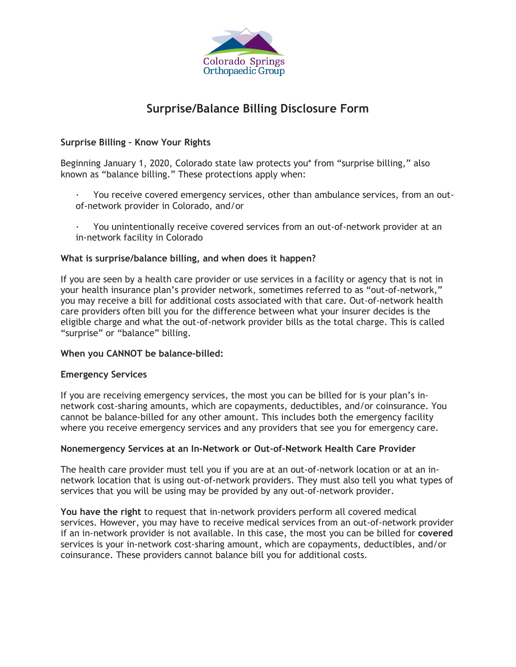

# **Surprise/Balance Billing Disclosure Form**

## **Surprise Billing – Know Your Rights**

Beginning January 1, 2020, Colorado state law protects you\* from "surprise billing," also known as "balance billing." These protections apply when:

- · You receive covered emergency services, other than ambulance services, from an outof-network provider in Colorado, and/or
- · You unintentionally receive covered services from an out-of-network provider at an in-network facility in Colorado

### **What is surprise/balance billing, and when does it happen?**

If you are seen by a health care provider or use services in a facility or agency that is not in your health insurance plan's provider network, sometimes referred to as "out-of-network," you may receive a bill for additional costs associated with that care. Out-of-network health care providers often bill you for the difference between what your insurer decides is the eligible charge and what the out-of-network provider bills as the total charge. This is called "surprise" or "balance" billing.

#### **When you CANNOT be balance-billed:**

#### **Emergency Services**

If you are receiving emergency services, the most you can be billed for is your plan's innetwork cost-sharing amounts, which are copayments, deductibles, and/or coinsurance. You cannot be balance-billed for any other amount. This includes both the emergency facility where you receive emergency services and any providers that see you for emergency care.

#### **Nonemergency Services at an In-Network or Out-of-Network Health Care Provider**

The health care provider must tell you if you are at an out-of-network location or at an innetwork location that is using out-of-network providers. They must also tell you what types of services that you will be using may be provided by any out-of-network provider.

**You have the right** to request that in-network providers perform all covered medical services. However, you may have to receive medical services from an out-of-network provider if an in-network provider is not available. In this case, the most you can be billed for **covered** services is your in-network cost-sharing amount, which are copayments, deductibles, and/or coinsurance. These providers cannot balance bill you for additional costs.